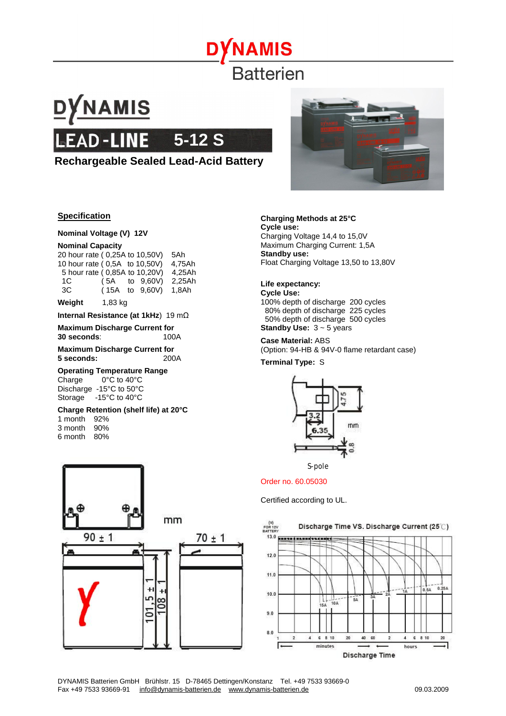# **NAMIS Batterien**

# DYNAMIS **5-12 S**

## **Rechargeable Sealed Lead-Acid Battery**



#### **Specification**

#### **Nominal Voltage (V) 12V**

#### **Nominal Capacity**

|    |  | 20 hour rate (0,25A to 10,50V) | 5Ah    |
|----|--|--------------------------------|--------|
|    |  | 10 hour rate (0.5A to 10.50V)  | 4.75Ah |
|    |  | 5 hour rate (0,85A to 10,20V)  | 4,25Ah |
| 1C |  | $(5A \tto 9.60V)$              | 2,25Ah |
| ЗC |  | $(15A \tto 9,60V)$             | 1.8Ah  |
|    |  |                                |        |

#### **Weight** 1,83 kg

**Internal Resistance (at 1kHz**) 19 mΩ

**Maximum Discharge Current for 30 seconds**: 100A

**Maximum Discharge Current for 5 seconds:** 200A

#### **Operating Temperature Range**

Charge 0°C to 40°C Discharge -15°C to 50°C Storage -15°C to 40°C

**Charge Retention (shelf life) at 20°C** 

1 month 92%

3 month 90%

6 month 80%



#### **Charging Methods at 25°C**

**Cycle use:**  Charging Voltage 14,4 to 15,0V Maximum Charging Current: 1,5A **Standby use:**  Float Charging Voltage 13,50 to 13,80V

### **Life expectancy:**

**Cycle Use:**  100% depth of discharge 200 cycles 80% depth of discharge 225 cycles 50% depth of discharge 500 cycles **Standby Use:**  $3 - 5$  years

#### **Case Material:** ABS

(Option: 94-HB & 94V-0 flame retardant case)

**Terminal Type:** S





Order no. 60.05030

Certified according to UL.